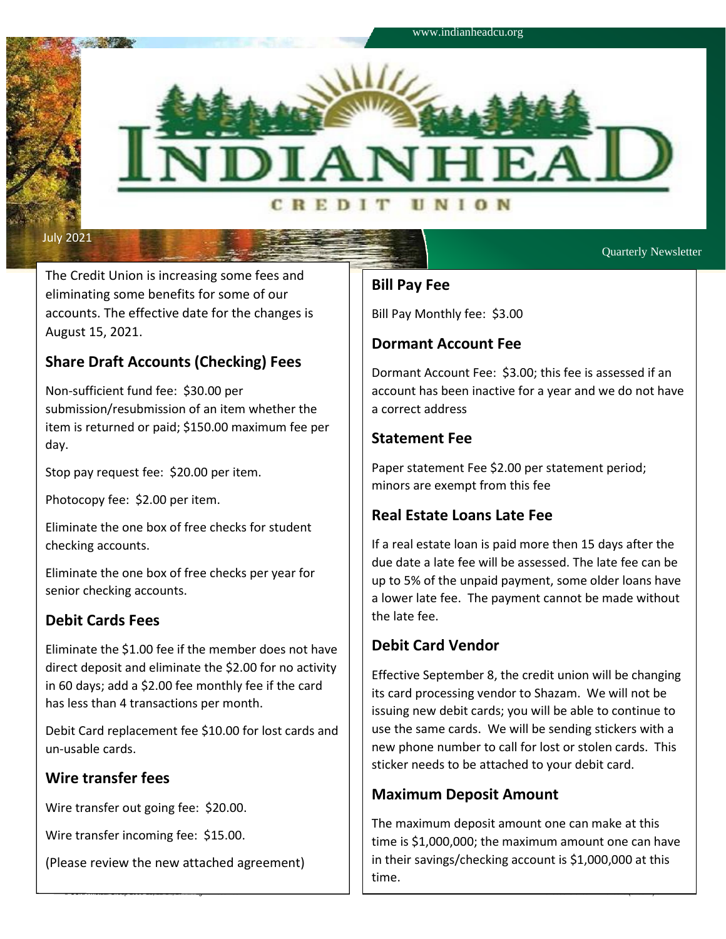

Quarterly Newsletter

The Credit Union is increasing some fees and eliminating some benefits for some of our accounts. The effective date for the changes is August 15, 2021.

# **Share Draft Accounts (Checking) Fees**

Non-sufficient fund fee: \$30.00 per submission/resubmission of an item whether the item is returned or paid; \$150.00 maximum fee per day.

Stop pay request fee: \$20.00 per item.

Photocopy fee: \$2.00 per item.

Eliminate the one box of free checks for student checking accounts.

Eliminate the one box of free checks per year for senior checking accounts.

## **Debit Cards Fees**

Eliminate the \$1.00 fee if the member does not have direct deposit and eliminate the \$2.00 for no activity in 60 days; add a \$2.00 fee monthly fee if the card has less than 4 transactions per month.

Debit Card replacement fee \$10.00 for lost cards and un-usable cards.

## **Wire transfer fees**

Wire transfer out going fee: \$20.00.

Wire transfer incoming fee: \$15.00.

(Please review the new attached agreement)

## **Bill Pay Fee**

Bill Pay Monthly fee: \$3.00

## **Dormant Account Fee**

Dormant Account Fee: \$3.00; this fee is assessed if an account has been inactive for a year and we do not have a correct address

## **Statement Fee**

Paper statement Fee \$2.00 per statement period; minors are exempt from this fee

## **Real Estate Loans Late Fee**

If a real estate loan is paid more then 15 days after the due date a late fee will be assessed. The late fee can be up to 5% of the unpaid payment, some older loans have a lower late fee. The payment cannot be made without the late fee.

## **Debit Card Vendor**

© CUNA Mutual Group 2008-10, 12-14, 17 All Rights Reserved 02903613-51002-P-1-010818 (51002B)-e

Effective September 8, the credit union will be changing its card processing vendor to Shazam. We will not be issuing new debit cards; you will be able to continue to use the same cards. We will be sending stickers with a new phone number to call for lost or stolen cards. This sticker needs to be attached to your debit card.

# **Maximum Deposit Amount**

The maximum deposit amount one can make at this time is \$1,000,000; the maximum amount one can have in their savings/checking account is \$1,000,000 at this time.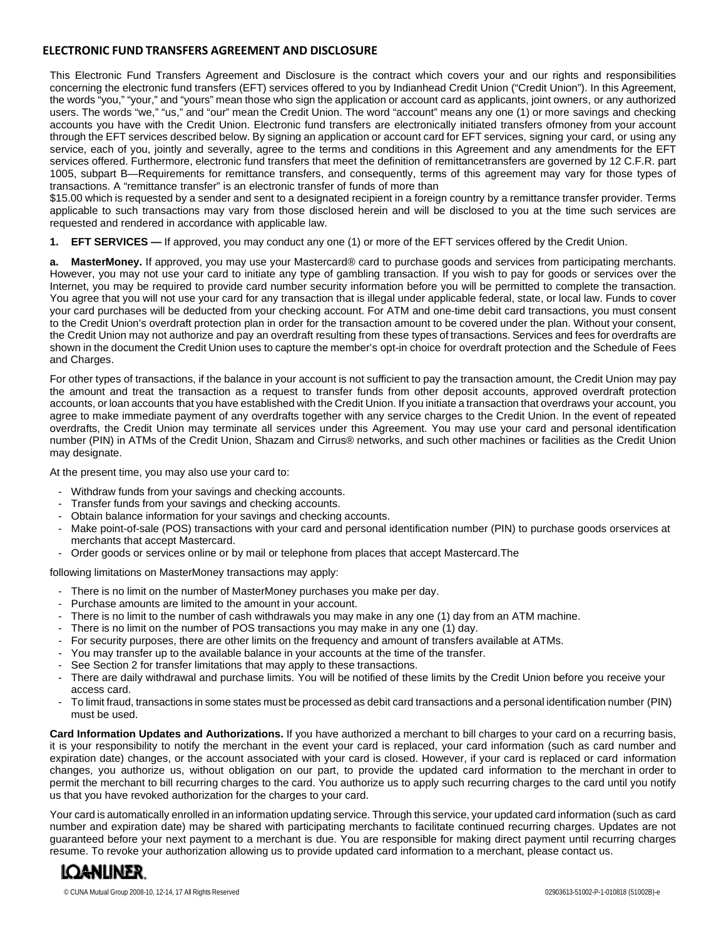### **ELECTRONIC FUND TRANSFERS AGREEMENT AND DISCLOSURE**

This Electronic Fund Transfers Agreement and Disclosure is the contract which covers your and our rights and responsibilities concerning the electronic fund transfers (EFT) services offered to you by Indianhead Credit Union ("Credit Union"). In this Agreement, the words "you," "your," and "yours" mean those who sign the application or account card as applicants, joint owners, or any authorized users. The words "we," "us," and "our" mean the Credit Union. The word "account" means any one (1) or more savings and checking accounts you have with the Credit Union. Electronic fund transfers are electronically initiated transfers ofmoney from your account through the EFT services described below. By signing an application or account card for EFT services, signing your card, or using any service, each of you, jointly and severally, agree to the terms and conditions in this Agreement and any amendments for the EFT services offered. Furthermore, electronic fund transfers that meet the definition of remittancetransfers are governed by 12 C.F.R. part 1005, subpart B—Requirements for remittance transfers, and consequently, terms of this agreement may vary for those types of transactions. A "remittance transfer" is an electronic transfer of funds of more than

\$15.00 which is requested by a sender and sent to a designated recipient in a foreign country by a remittance transfer provider. Terms applicable to such transactions may vary from those disclosed herein and will be disclosed to you at the time such services are requested and rendered in accordance with applicable law.

**1. EFT SERVICES —** If approved, you may conduct any one (1) or more of the EFT services offered by the Credit Union.

**a. MasterMoney.** If approved, you may use your Mastercard® card to purchase goods and services from participating merchants. However, you may not use your card to initiate any type of gambling transaction. If you wish to pay for goods or services over the Internet, you may be required to provide card number security information before you will be permitted to complete the transaction. You agree that you will not use your card for any transaction that is illegal under applicable federal, state, or local law. Funds to cover your card purchases will be deducted from your checking account. For ATM and one-time debit card transactions, you must consent to the Credit Union's overdraft protection plan in order for the transaction amount to be covered under the plan. Without your consent, the Credit Union may not authorize and pay an overdraft resulting from these types of transactions. Services and fees for overdrafts are shown in the document the Credit Union uses to capture the member's opt-in choice for overdraft protection and the Schedule of Fees and Charges.

For other types of transactions, if the balance in your account is not sufficient to pay the transaction amount, the Credit Union may pay the amount and treat the transaction as a request to transfer funds from other deposit accounts, approved overdraft protection accounts, or loan accounts that you have established with the Credit Union. If you initiate a transaction that overdraws your account, you agree to make immediate payment of any overdrafts together with any service charges to the Credit Union. In the event of repeated overdrafts, the Credit Union may terminate all services under this Agreement. You may use your card and personal identification number (PIN) in ATMs of the Credit Union, Shazam and Cirrus® networks, and such other machines or facilities as the Credit Union may designate.

At the present time, you may also use your card to:

- Withdraw funds from your savings and checking accounts.
- Transfer funds from your savings and checking accounts.
- Obtain balance information for your savings and checking accounts.
- Make point-of-sale (POS) transactions with your card and personal identification number (PIN) to purchase goods orservices at merchants that accept Mastercard.
- Order goods or services online or by mail or telephone from places that accept Mastercard.The

following limitations on MasterMoney transactions may apply:

- There is no limit on the number of MasterMoney purchases you make per day.
- Purchase amounts are limited to the amount in your account.
- There is no limit to the number of cash withdrawals you may make in any one (1) day from an ATM machine.
- There is no limit on the number of POS transactions you may make in any one (1) day.
- For security purposes, there are other limits on the frequency and amount of transfers available at ATMs.
- You may transfer up to the available balance in your accounts at the time of the transfer.
- See Section 2 for transfer limitations that may apply to these transactions.
- There are daily withdrawal and purchase limits. You will be notified of these limits by the Credit Union before you receive your access card.
- To limit fraud, transactions in some states must be processed as debit card transactions and a personal identification number (PIN) must be used.

**Card Information Updates and Authorizations.** If you have authorized a merchant to bill charges to your card on a recurring basis, it is your responsibility to notify the merchant in the event your card is replaced, your card information (such as card number and expiration date) changes, or the account associated with your card is closed. However, if your card is replaced or card information changes, you authorize us, without obligation on our part, to provide the updated card information to the merchant in order to permit the merchant to bill recurring charges to the card. You authorize us to apply such recurring charges to the card until you notify us that you have revoked authorization for the charges to your card.

Your card is automatically enrolled in an information updating service. Through this service, your updated card information (such as card number and expiration date) may be shared with participating merchants to facilitate continued recurring charges. Updates are not guaranteed before your next payment to a merchant is due. You are responsible for making direct payment until recurring charges resume. To revoke your authorization allowing us to provide updated card information to a merchant, please contact us.

# **LOANLINER**

© CUNA Mutual Group 2008-10, 12-14, 17 All Rights Reserved 02903613-51002-P-1-010818 (51002B)-e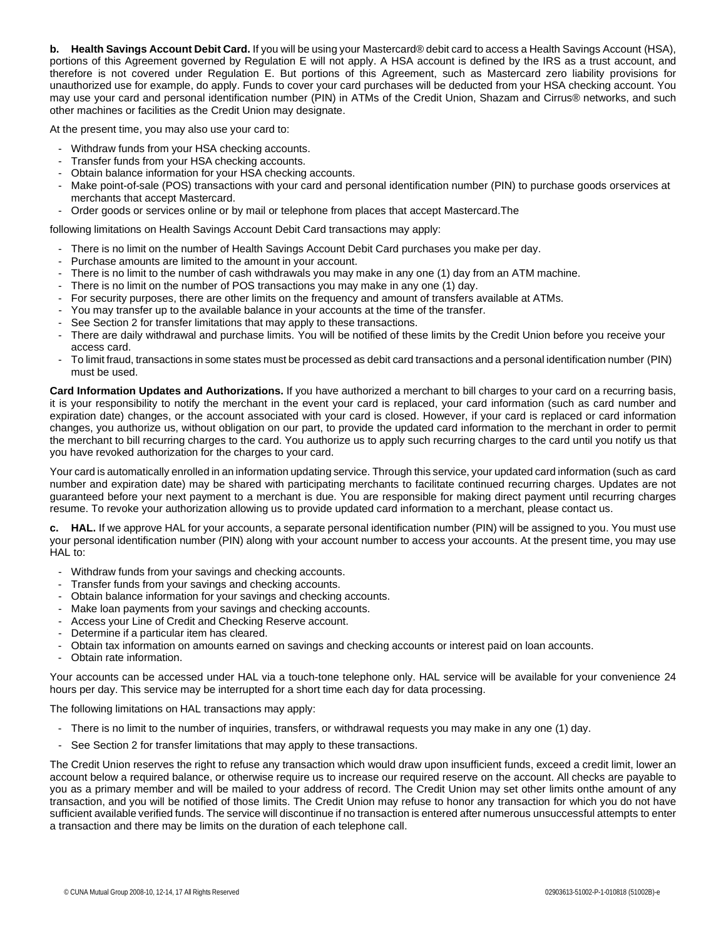**b. Health Savings Account Debit Card.** If you will be using your Mastercard® debit card to access a Health Savings Account (HSA), portions of this Agreement governed by Regulation E will not apply. A HSA account is defined by the IRS as a trust account, and therefore is not covered under Regulation E. But portions of this Agreement, such as Mastercard zero liability provisions for unauthorized use for example, do apply. Funds to cover your card purchases will be deducted from your HSA checking account. You may use your card and personal identification number (PIN) in ATMs of the Credit Union, Shazam and Cirrus® networks, and such other machines or facilities as the Credit Union may designate.

At the present time, you may also use your card to:

- Withdraw funds from your HSA checking accounts.
- Transfer funds from your HSA checking accounts.
- Obtain balance information for your HSA checking accounts.
- Make point-of-sale (POS) transactions with your card and personal identification number (PIN) to purchase goods orservices at merchants that accept Mastercard.
- Order goods or services online or by mail or telephone from places that accept Mastercard.The

following limitations on Health Savings Account Debit Card transactions may apply:

- There is no limit on the number of Health Savings Account Debit Card purchases you make per day.
- Purchase amounts are limited to the amount in your account.
- There is no limit to the number of cash withdrawals you may make in any one (1) day from an ATM machine.
- There is no limit on the number of POS transactions you may make in any one (1) day.
- For security purposes, there are other limits on the frequency and amount of transfers available at ATMs.
- You may transfer up to the available balance in your accounts at the time of the transfer.
- See Section 2 for transfer limitations that may apply to these transactions.
- There are daily withdrawal and purchase limits. You will be notified of these limits by the Credit Union before you receive your access card.
- To limit fraud, transactions in some states must be processed as debit card transactions and a personal identification number (PIN) must be used.

**Card Information Updates and Authorizations.** If you have authorized a merchant to bill charges to your card on a recurring basis, it is your responsibility to notify the merchant in the event your card is replaced, your card information (such as card number and expiration date) changes, or the account associated with your card is closed. However, if your card is replaced or card information changes, you authorize us, without obligation on our part, to provide the updated card information to the merchant in order to permit the merchant to bill recurring charges to the card. You authorize us to apply such recurring charges to the card until you notify us that you have revoked authorization for the charges to your card.

Your card is automatically enrolled in an information updating service. Through this service, your updated card information (such as card number and expiration date) may be shared with participating merchants to facilitate continued recurring charges. Updates are not guaranteed before your next payment to a merchant is due. You are responsible for making direct payment until recurring charges resume. To revoke your authorization allowing us to provide updated card information to a merchant, please contact us.

**c. HAL.** If we approve HAL for your accounts, a separate personal identification number (PIN) will be assigned to you. You must use your personal identification number (PIN) along with your account number to access your accounts. At the present time, you may use HAL to:

- Withdraw funds from your savings and checking accounts.
- Transfer funds from your savings and checking accounts.
- Obtain balance information for your savings and checking accounts.
- Make loan payments from your savings and checking accounts.
- Access your Line of Credit and Checking Reserve account.
- Determine if a particular item has cleared.
- Obtain tax information on amounts earned on savings and checking accounts or interest paid on loan accounts.
- Obtain rate information.

Your accounts can be accessed under HAL via a touch-tone telephone only. HAL service will be available for your convenience 24 hours per day. This service may be interrupted for a short time each day for data processing.

The following limitations on HAL transactions may apply:

- There is no limit to the number of inquiries, transfers, or withdrawal requests you may make in any one (1) day.
- See Section 2 for transfer limitations that may apply to these transactions.

The Credit Union reserves the right to refuse any transaction which would draw upon insufficient funds, exceed a credit limit, lower an account below a required balance, or otherwise require us to increase our required reserve on the account. All checks are payable to you as a primary member and will be mailed to your address of record. The Credit Union may set other limits onthe amount of any transaction, and you will be notified of those limits. The Credit Union may refuse to honor any transaction for which you do not have sufficient available verified funds. The service will discontinue if no transaction is entered after numerous unsuccessful attempts to enter a transaction and there may be limits on the duration of each telephone call.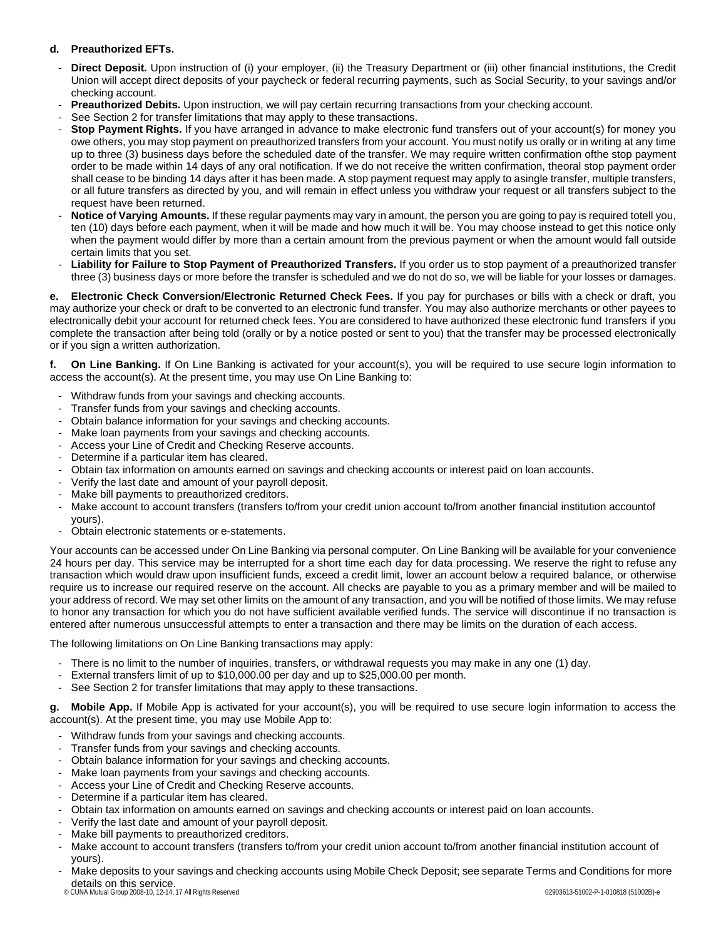### **d. Preauthorized EFTs.**

- **Direct Deposit.** Upon instruction of (i) your employer, (ii) the Treasury Department or (iii) other financial institutions, the Credit Union will accept direct deposits of your paycheck or federal recurring payments, such as Social Security, to your savings and/or checking account.
- **Preauthorized Debits.** Upon instruction, we will pay certain recurring transactions from your checking account.
- See Section 2 for transfer limitations that may apply to these transactions.
- Stop Payment Rights. If you have arranged in advance to make electronic fund transfers out of your account(s) for money you owe others, you may stop payment on preauthorized transfers from your account. You must notify us orally or in writing at any time up to three (3) business days before the scheduled date of the transfer. We may require written confirmation ofthe stop payment order to be made within 14 days of any oral notification. If we do not receive the written confirmation, theoral stop payment order shall cease to be binding 14 days after it has been made. A stop payment request may apply to asingle transfer, multiple transfers, or all future transfers as directed by you, and will remain in effect unless you withdraw your request or all transfers subject to the request have been returned.
- **Notice of Varying Amounts.** If these regular payments may vary in amount, the person you are going to pay is required totell you, ten (10) days before each payment, when it will be made and how much it will be. You may choose instead to get this notice only when the payment would differ by more than a certain amount from the previous payment or when the amount would fall outside certain limits that you set.
- Liability for Failure to Stop Payment of Preauthorized Transfers. If you order us to stop payment of a preauthorized transfer three (3) business days or more before the transfer is scheduled and we do not do so, we will be liable for your losses or damages.

**e. Electronic Check Conversion/Electronic Returned Check Fees.** If you pay for purchases or bills with a check or draft, you may authorize your check or draft to be converted to an electronic fund transfer. You may also authorize merchants or other payees to electronically debit your account for returned check fees. You are considered to have authorized these electronic fund transfers if you complete the transaction after being told (orally or by a notice posted or sent to you) that the transfer may be processed electronically or if you sign a written authorization.

**f. On Line Banking.** If On Line Banking is activated for your account(s), you will be required to use secure login information to access the account(s). At the present time, you may use On Line Banking to:

- Withdraw funds from your savings and checking accounts.
- Transfer funds from your savings and checking accounts.
- Obtain balance information for your savings and checking accounts.
- Make loan payments from your savings and checking accounts.
- Access your Line of Credit and Checking Reserve accounts.
- Determine if a particular item has cleared.
- Obtain tax information on amounts earned on savings and checking accounts or interest paid on loan accounts.
- Verify the last date and amount of your payroll deposit.
- Make bill payments to preauthorized creditors.
- Make account to account transfers (transfers to/from your credit union account to/from another financial institution accountof yours).
- Obtain electronic statements or e-statements.

Your accounts can be accessed under On Line Banking via personal computer. On Line Banking will be available for your convenience 24 hours per day. This service may be interrupted for a short time each day for data processing. We reserve the right to refuse any transaction which would draw upon insufficient funds, exceed a credit limit, lower an account below a required balance, or otherwise require us to increase our required reserve on the account. All checks are payable to you as a primary member and will be mailed to your address of record. We may set other limits on the amount of any transaction, and you will be notified of those limits. We may refuse to honor any transaction for which you do not have sufficient available verified funds. The service will discontinue if no transaction is entered after numerous unsuccessful attempts to enter a transaction and there may be limits on the duration of each access.

The following limitations on On Line Banking transactions may apply:

- There is no limit to the number of inquiries, transfers, or withdrawal requests you may make in any one (1) day.
- External transfers limit of up to \$10,000.00 per day and up to \$25,000.00 per month.
- See Section 2 for transfer limitations that may apply to these transactions.

**g. Mobile App.** If Mobile App is activated for your account(s), you will be required to use secure login information to access the account(s). At the present time, you may use Mobile App to:

- Withdraw funds from your savings and checking accounts.
- Transfer funds from your savings and checking accounts.
- Obtain balance information for your savings and checking accounts.
- Make loan payments from your savings and checking accounts.
- Access your Line of Credit and Checking Reserve accounts.
- Determine if a particular item has cleared.
- Obtain tax information on amounts earned on savings and checking accounts or interest paid on loan accounts.
- Verify the last date and amount of your payroll deposit.
- Make bill payments to preauthorized creditors.
- Make account to account transfers (transfers to/from your credit union account to/from another financial institution account of yours).
- © CUNA Mutual Group 2008-10, 12-14, 17 All Rights Reserved 02903613-51002-P-1-010818 (51002B)-e details on this service.Make deposits to your savings and checking accounts using Mobile Check Deposit; see separate Terms and Conditions for more
-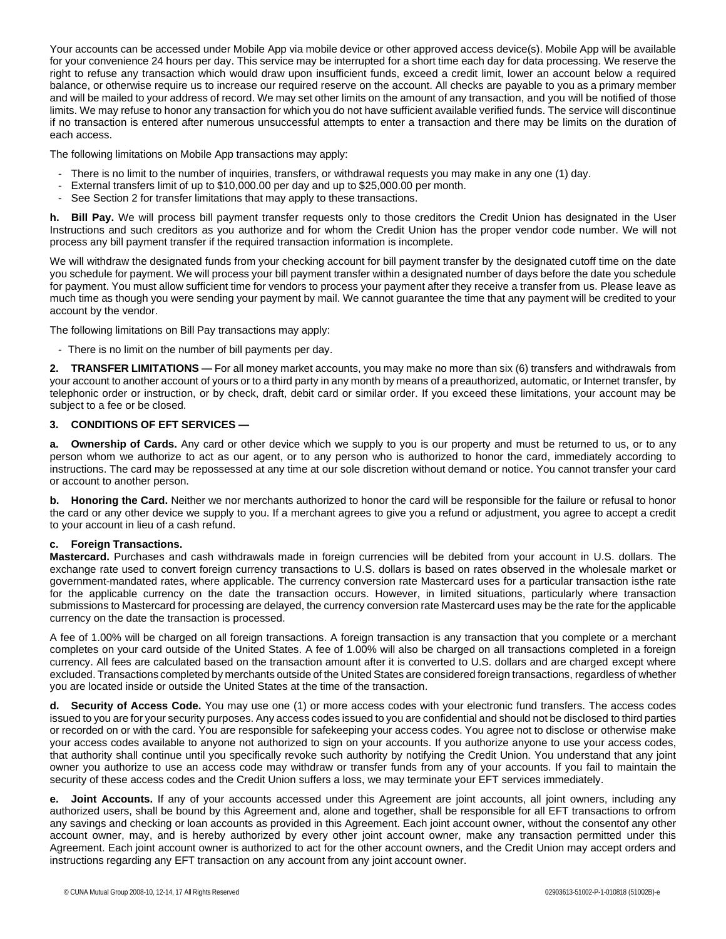Your accounts can be accessed under Mobile App via mobile device or other approved access device(s). Mobile App will be available for your convenience 24 hours per day. This service may be interrupted for a short time each day for data processing. We reserve the right to refuse any transaction which would draw upon insufficient funds, exceed a credit limit, lower an account below a required balance, or otherwise require us to increase our required reserve on the account. All checks are payable to you as a primary member and will be mailed to your address of record. We may set other limits on the amount of any transaction, and you will be notified of those limits. We may refuse to honor any transaction for which you do not have sufficient available verified funds. The service will discontinue if no transaction is entered after numerous unsuccessful attempts to enter a transaction and there may be limits on the duration of each access.

The following limitations on Mobile App transactions may apply:

- There is no limit to the number of inquiries, transfers, or withdrawal requests you may make in any one (1) day.
- External transfers limit of up to \$10,000.00 per day and up to \$25,000.00 per month.
- See Section 2 for transfer limitations that may apply to these transactions.

**h. Bill Pay.** We will process bill payment transfer requests only to those creditors the Credit Union has designated in the User Instructions and such creditors as you authorize and for whom the Credit Union has the proper vendor code number. We will not process any bill payment transfer if the required transaction information is incomplete.

We will withdraw the designated funds from your checking account for bill payment transfer by the designated cutoff time on the date you schedule for payment. We will process your bill payment transfer within a designated number of days before the date you schedule for payment. You must allow sufficient time for vendors to process your payment after they receive a transfer from us. Please leave as much time as though you were sending your payment by mail. We cannot guarantee the time that any payment will be credited to your account by the vendor.

The following limitations on Bill Pay transactions may apply:

- There is no limit on the number of bill payments per day.

**2. TRANSFER LIMITATIONS —** For all money market accounts, you may make no more than six (6) transfers and withdrawals from your account to another account of yours or to a third party in any month by means of a preauthorized, automatic, or Internet transfer, by telephonic order or instruction, or by check, draft, debit card or similar order. If you exceed these limitations, your account may be subject to a fee or be closed.

### **3. CONDITIONS OF EFT SERVICES —**

**a. Ownership of Cards.** Any card or other device which we supply to you is our property and must be returned to us, or to any person whom we authorize to act as our agent, or to any person who is authorized to honor the card, immediately according to instructions. The card may be repossessed at any time at our sole discretion without demand or notice. You cannot transfer your card or account to another person.

**b. Honoring the Card.** Neither we nor merchants authorized to honor the card will be responsible for the failure or refusal to honor the card or any other device we supply to you. If a merchant agrees to give you a refund or adjustment, you agree to accept a credit to your account in lieu of a cash refund.

### **c. Foreign Transactions.**

**Mastercard.** Purchases and cash withdrawals made in foreign currencies will be debited from your account in U.S. dollars. The exchange rate used to convert foreign currency transactions to U.S. dollars is based on rates observed in the wholesale market or government-mandated rates, where applicable. The currency conversion rate Mastercard uses for a particular transaction isthe rate for the applicable currency on the date the transaction occurs. However, in limited situations, particularly where transaction submissions to Mastercard for processing are delayed, the currency conversion rate Mastercard uses may be the rate for the applicable currency on the date the transaction is processed.

A fee of 1.00% will be charged on all foreign transactions. A foreign transaction is any transaction that you complete or a merchant completes on your card outside of the United States. A fee of 1.00% will also be charged on all transactions completed in a foreign currency. All fees are calculated based on the transaction amount after it is converted to U.S. dollars and are charged except where excluded. Transactions completed by merchants outside of the United States are considered foreign transactions, regardless of whether you are located inside or outside the United States at the time of the transaction.

**d. Security of Access Code.** You may use one (1) or more access codes with your electronic fund transfers. The access codes issued to you are for your security purposes. Any access codes issued to you are confidential and should not be disclosed to third parties or recorded on or with the card. You are responsible for safekeeping your access codes. You agree not to disclose or otherwise make your access codes available to anyone not authorized to sign on your accounts. If you authorize anyone to use your access codes, that authority shall continue until you specifically revoke such authority by notifying the Credit Union. You understand that any joint owner you authorize to use an access code may withdraw or transfer funds from any of your accounts. If you fail to maintain the security of these access codes and the Credit Union suffers a loss, we may terminate your EFT services immediately.

**e. Joint Accounts.** If any of your accounts accessed under this Agreement are joint accounts, all joint owners, including any authorized users, shall be bound by this Agreement and, alone and together, shall be responsible for all EFT transactions to orfrom any savings and checking or loan accounts as provided in this Agreement. Each joint account owner, without the consentof any other account owner, may, and is hereby authorized by every other joint account owner, make any transaction permitted under this Agreement. Each joint account owner is authorized to act for the other account owners, and the Credit Union may accept orders and instructions regarding any EFT transaction on any account from any joint account owner.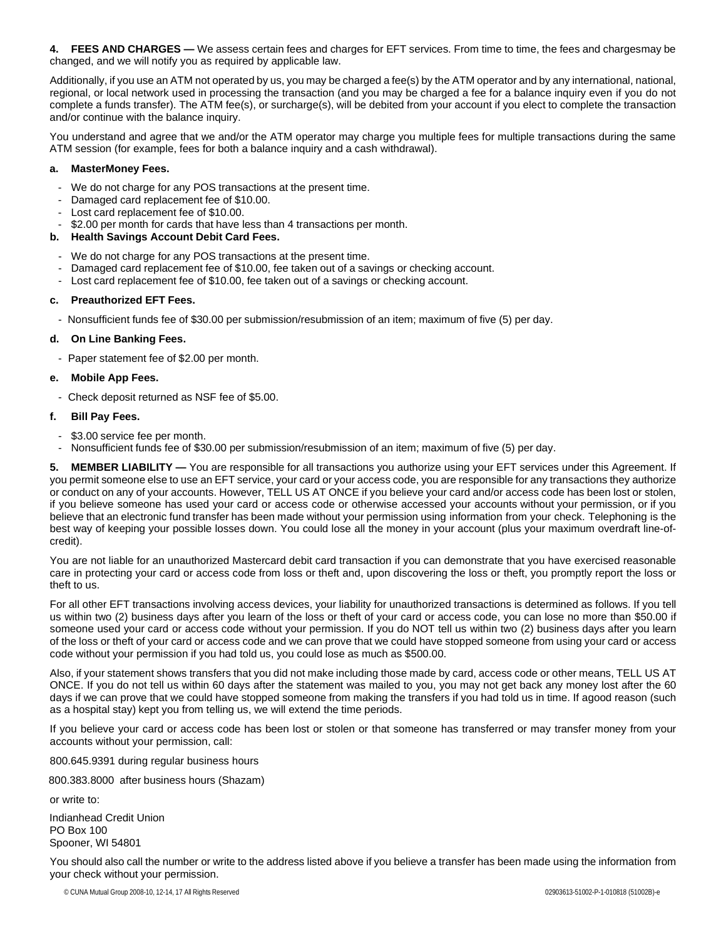**4. FEES AND CHARGES —** We assess certain fees and charges for EFT services. From time to time, the fees and chargesmay be changed, and we will notify you as required by applicable law.

Additionally, if you use an ATM not operated by us, you may be charged a fee(s) by the ATM operator and by any international, national, regional, or local network used in processing the transaction (and you may be charged a fee for a balance inquiry even if you do not complete a funds transfer). The ATM fee(s), or surcharge(s), will be debited from your account if you elect to complete the transaction and/or continue with the balance inquiry.

You understand and agree that we and/or the ATM operator may charge you multiple fees for multiple transactions during the same ATM session (for example, fees for both a balance inquiry and a cash withdrawal).

### **a. MasterMoney Fees.**

- We do not charge for any POS transactions at the present time.
- Damaged card replacement fee of \$10.00.
- Lost card replacement fee of \$10.00.
- \$2.00 per month for cards that have less than 4 transactions per month.

### **b. Health Savings Account Debit Card Fees.**

- We do not charge for any POS transactions at the present time.
- Damaged card replacement fee of \$10.00, fee taken out of a savings or checking account.
- Lost card replacement fee of \$10.00, fee taken out of a savings or checking account.

### **c. Preauthorized EFT Fees.**

- Nonsufficient funds fee of \$30.00 per submission/resubmission of an item; maximum of five (5) per day.

### **d. On Line Banking Fees.**

- Paper statement fee of \$2.00 per month.

### **e. Mobile App Fees.**

- Check deposit returned as NSF fee of \$5.00.

### **f. Bill Pay Fees.**

- \$3.00 service fee per month.
- Nonsufficient funds fee of \$30.00 per submission/resubmission of an item; maximum of five (5) per day.

**5. MEMBER LIABILITY —** You are responsible for all transactions you authorize using your EFT services under this Agreement. If you permit someone else to use an EFT service, your card or your access code, you are responsible for any transactions they authorize or conduct on any of your accounts. However, TELL US AT ONCE if you believe your card and/or access code has been lost or stolen, if you believe someone has used your card or access code or otherwise accessed your accounts without your permission, or if you believe that an electronic fund transfer has been made without your permission using information from your check. Telephoning is the best way of keeping your possible losses down. You could lose all the money in your account (plus your maximum overdraft line-ofcredit).

You are not liable for an unauthorized Mastercard debit card transaction if you can demonstrate that you have exercised reasonable care in protecting your card or access code from loss or theft and, upon discovering the loss or theft, you promptly report the loss or theft to us.

For all other EFT transactions involving access devices, your liability for unauthorized transactions is determined as follows. If you tell us within two (2) business days after you learn of the loss or theft of your card or access code, you can lose no more than \$50.00 if someone used your card or access code without your permission. If you do NOT tell us within two (2) business days after you learn of the loss or theft of your card or access code and we can prove that we could have stopped someone from using your card or access code without your permission if you had told us, you could lose as much as \$500.00.

Also, if your statement shows transfers that you did not make including those made by card, access code or other means, TELL US AT ONCE. If you do not tell us within 60 days after the statement was mailed to you, you may not get back any money lost after the 60 days if we can prove that we could have stopped someone from making the transfers if you had told us in time. If agood reason (such as a hospital stay) kept you from telling us, we will extend the time periods.

If you believe your card or access code has been lost or stolen or that someone has transferred or may transfer money from your accounts without your permission, call:

800.645.9391 during regular business hours

800.383.8000 after business hours (Shazam)

or write to: Indianhead Credit Union PO Box 100 Spooner, WI 54801

You should also call the number or write to the address listed above if you believe a transfer has been made using the information from your check without your permission.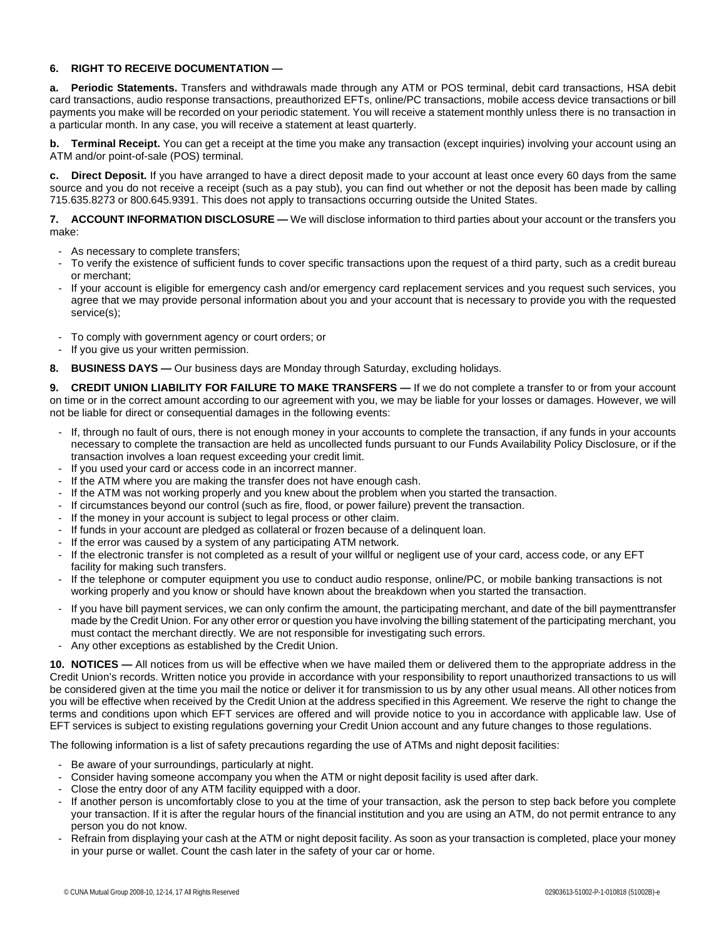### **6. RIGHT TO RECEIVE DOCUMENTATION —**

**a. Periodic Statements.** Transfers and withdrawals made through any ATM or POS terminal, debit card transactions, HSA debit card transactions, audio response transactions, preauthorized EFTs, online/PC transactions, mobile access device transactions or bill payments you make will be recorded on your periodic statement. You will receive a statement monthly unless there is no transaction in a particular month. In any case, you will receive a statement at least quarterly.

**b. Terminal Receipt.** You can get a receipt at the time you make any transaction (except inquiries) involving your account using an ATM and/or point-of-sale (POS) terminal.

**c. Direct Deposit.** If you have arranged to have a direct deposit made to your account at least once every 60 days from the same source and you do not receive a receipt (such as a pay stub), you can find out whether or not the deposit has been made by calling 715.635.8273 or 800.645.9391. This does not apply to transactions occurring outside the United States.

**7. ACCOUNT INFORMATION DISCLOSURE —** We will disclose information to third parties about your account or the transfers you make:

- As necessary to complete transfers;
- To verify the existence of sufficient funds to cover specific transactions upon the request of a third party, such as a credit bureau or merchant;
- If your account is eligible for emergency cash and/or emergency card replacement services and you request such services, you agree that we may provide personal information about you and your account that is necessary to provide you with the requested service(s);
- To comply with government agency or court orders; or
- If you give us your written permission.
- **8. BUSINESS DAYS —** Our business days are Monday through Saturday, excluding holidays.

**9. CREDIT UNION LIABILITY FOR FAILURE TO MAKE TRANSFERS —** If we do not complete a transfer to or from your account on time or in the correct amount according to our agreement with you, we may be liable for your losses or damages. However, we will not be liable for direct or consequential damages in the following events:

- If, through no fault of ours, there is not enough money in your accounts to complete the transaction, if any funds in your accounts necessary to complete the transaction are held as uncollected funds pursuant to our Funds Availability Policy Disclosure, or if the transaction involves a loan request exceeding your credit limit.
- If you used your card or access code in an incorrect manner.
- If the ATM where you are making the transfer does not have enough cash.
- If the ATM was not working properly and you knew about the problem when you started the transaction.
- If circumstances beyond our control (such as fire, flood, or power failure) prevent the transaction.
- If the money in your account is subject to legal process or other claim.
- If funds in your account are pledged as collateral or frozen because of a delinguent loan.
- If the error was caused by a system of any participating ATM network.
- If the electronic transfer is not completed as a result of your willful or negligent use of your card, access code, or any EFT facility for making such transfers.
- If the telephone or computer equipment you use to conduct audio response, online/PC, or mobile banking transactions is not working properly and you know or should have known about the breakdown when you started the transaction.
- If you have bill payment services, we can only confirm the amount, the participating merchant, and date of the bill paymenttransfer made by the Credit Union. For any other error or question you have involving the billing statement of the participating merchant, you must contact the merchant directly. We are not responsible for investigating such errors.
- Any other exceptions as established by the Credit Union.

**10. NOTICES —** All notices from us will be effective when we have mailed them or delivered them to the appropriate address in the Credit Union's records. Written notice you provide in accordance with your responsibility to report unauthorized transactions to us will be considered given at the time you mail the notice or deliver it for transmission to us by any other usual means. All other notices from you will be effective when received by the Credit Union at the address specified in this Agreement. We reserve the right to change the terms and conditions upon which EFT services are offered and will provide notice to you in accordance with applicable law. Use of EFT services is subject to existing regulations governing your Credit Union account and any future changes to those regulations.

The following information is a list of safety precautions regarding the use of ATMs and night deposit facilities:

- Be aware of your surroundings, particularly at night.
- Consider having someone accompany you when the ATM or night deposit facility is used after dark.
- Close the entry door of any ATM facility equipped with a door.
- If another person is uncomfortably close to you at the time of your transaction, ask the person to step back before you complete your transaction. If it is after the regular hours of the financial institution and you are using an ATM, do not permit entrance to any person you do not know.
- Refrain from displaying your cash at the ATM or night deposit facility. As soon as your transaction is completed, place your money in your purse or wallet. Count the cash later in the safety of your car or home.